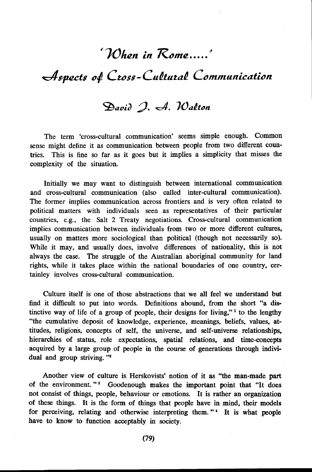## ~JOiuzn *in Rome ..... ,*

 $A$ spects of Cross-Cultural Communication

## David I. A. Walton

The term 'cross-cultural communication' seems simple enough. Common sense might define it as communication between people from two different countries. This is fine so far as it goes but it implies a simplicity that misses the complexity of the situation.

Initially we may want to distinguish between international communication and cross-cultural communication (also called inter-cultural communication). The former implies communication across frontiers and is very often related to political matters with individuals seen as representatives of their particular countries, e.g., the Salt 2 Treaty negotiations. Cross-cultural communication implies communication between individuals from two or more different cultures, usually on matters more sociological than political (though not necessarily so). While it may, and usually does, involve differences of nationality, this is not always the case. The struggle of the Australian aboriginal community for land rights, while it takes place within the national boundaries of one country, certainley involves cross-cultural communication.

Culture itself is one of those abstractions that we all feel we understand but find it difficult to put into words. Definitions abound, from the short "a distinctive way of life of a group of people, their designs for living,"<sup>1</sup> to the lengthy "the cumulative deposit of knowledge, experience, meanings, beliefs, values, attitudes, religions, concepts of self, the universe, and self-universe relationships, hierarchies of status, role expectations, spatial relations, and time-concepts acquired by a large group of people in the course of generations through individual and group striving. "2

Another view of culture is Herskovists' notion of it as "the man-made part of the environment."<sup>3</sup> Goodenough makes the important point that "It does not consist of things, people, behaviour or emotions. It is rather an organization of these things. It is the form of things that people have in mind, their models for perceiving, relating and otherwise interpreting them."<sup>4</sup> It is what people have to know to function acceptably in society.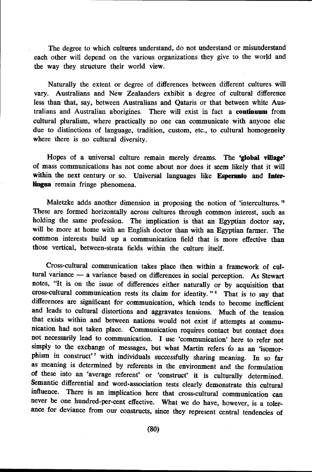The degree to which cultures understand, do not understand or misunderstand each other will depend on the various organizations they give to the world and the way they structure their world view.

Naturally the extent or degree of differences between different cultures will vary. Australians and New Zealanders exhibit a degree of cultural difference less than that, say, between Australians and Qataris or that between white Australians and Australian aborigines. There will exist in fact a **continuum** from cultural pluralism, where practically no one can communicate with anyone else due to distinctions of language, tradition, custom, etc., to cultural homogeneity where there is no cultural diversity.

Hopes of a universal culture remain merely dreams. The **'global village'**  of mass communications has not come about nor does it seem likely that it will within the next century or so. Universal languages like **Esperanto** and Inter**lingua** remain fringe phenomena.

Maletzke adds another dimension in proposing the notion of 'intercultures. ' 5 These are formed horizontally across cultures through common interest, such as holding the same profession. The implication is that an Egyptian doctor say, will be more at home with an English doctor than with an Egyptian farmer. The common interests build up a communication field that is more effective than those vertical, between-strata fields within the culture itself.

Cross-cultural communication takes place then within a framework of cultural variance - a variance based on differences in social perception. As Stewart notes, "It is on the issue of differences either naturally or by acquisition that cross-cultural communication rests its claim for identity." 6 That is to say that differences are significant for communication, which tends to become inefficient and leads to cultural distortions and aggravates tensions. Much of the tension that exists within and between nations would not exist if attempts at communication had not taken place. Communication requires contact but contact does not necessarily lead to communication. I use 'communication' here to refer not simply to the exchange of messages, but what Martin refers to as an 'isomorphism in construct'<sup>7</sup> with individuals successfully sharing meaning. In so far as meaning is determined by referents in the environment and the formulation of these into an 'average referent' or 'construct' it is culturally determined. Semantic differential and word-association tests clearly demonstrate this cultural influence. There is an implication here that cross-cultural communication can never be one hundred-per-cent effective. What we do have, however, is a tolerance for deviance from our constructs, since they represent central tendencies of

(80)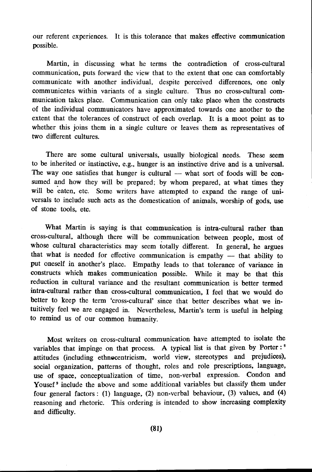our referent experiences. It is this tolerance that makes effective communication possible.

Martin, in discussing what he terms the contradiction of cross-cultural communication, puts forward the view that to the extent that one can comfortably communicate with another individual, despite perceived differences, one only communicates within variants of a single culture. Thus no cross-cultural communication takes place. Communication can only take place when the constructs of the individual communicators have approximated towards one another to the extent that the tolerances of construct of each overlap. It is a moot point as to whether this joins them in a single culture or leaves them as representatives of two different cultures.

There are some cultural universals, usually biological needs. These seem to be inherited or instinctive, e.g., hunger is an instinctive drive and is a universal. The way one satisfies that hunger is cultural  $-$  what sort of foods will be consumed and how they will be prepared; by whom prepared, at what times they will be eaten, etc. Some writers have attempted to expand the range of universals to include such acts as the domestication of animals, worship of gods, use of stone tools, etc,

What Martin is saying is that communication is intra-cultural rather than cross-cultural, although there will be communication between people, most of whose cultural characteristics may seem totally different. In general, he argues that what is needed for effective communication is empathy  $-$  that ability to put oneself in another's place. Empathy leads to that tolerance of variance in constructs which makes communication possible. While it may be that this reduction in cultural variance and the resultant communication is better termed intra-cultural rather than cross-cultural communication, I feel that we would do better to keep the term 'cross-cultural' since that better describes what we intuitively feel we are engaged in. Nevertheless, Martin's term is useful in helping to remind us of our common humanity.

Most writers on cross-cultural communication have attempted to isolate the variables that impinge on that process. A typical list is that given by Porter:<sup>8</sup> attitudes (including ethnocentricism, world view, stereotypes and prejudices), social organization, patterns of thought, roles and role prescriptions, language, use of space, conceptualization of time, non-verbal expression. Condon and Yousef<sup>9</sup> include the above and some additional variables but classify them under four general factors: (1) language, (2) non-verbal behaviour, (3) values, and (4) reasoning and rhetoric. This ordering is intended to show increasing complexity and difficulty.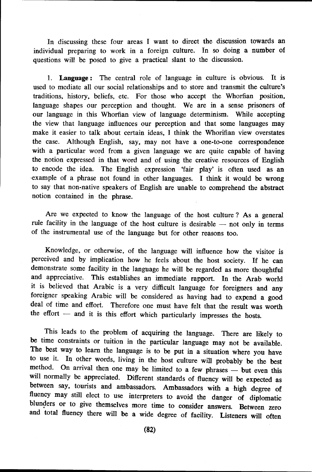In discussing these four areas I want to direct the discussion towards an individual preparing to work in a foreign culture. In so doing a number of questions will be posed to give a practical slant to the discussion.

1. Language: The central role of language in culture is obvious. It is used to mediate all our social relationships and to store and transmit the culture's traditions, history, beliefs, etc. For those who accept the Whorfian position, language shapes our perception and thought. We are in a sense prisoners of our language in this Whorfian view of language determinism. While accepting the view that language influences our perception and that some languages may make it easier to talk about certain ideas, I think the Whorifian view overstates the case. Although English, say, may not have a one-to-one correspondence with a particular word from a given language we are quite capable of having the notion expressed in that word and of using the creative resources of English to encode the idea. The English expression 'fair play' is often used as an ·example of a phrase not found in other languages. I think it would be wrong to say that non-native speakers of English are unable to comprehend the abstract notion contained in the phrase.

Are we expected to know the language of the host culture ? As a general rule facility in the language of the host culture is desirable  $-$  not only in terms of the instrumental use of the language but for other reasons too.

Knowledge, or otherwise, of the language will influence how the visitor is perceived and by implication how he feels about the host society. If he can demonstrate some facility in the language he will be regarded as more thoughtful and appreciative. This establishes an immediate rapport. In the Arab world it is believed that Arabic is a very difficult language for foreigners and any foreigner speaking Arabic will be considered as having had to expend a good deal of time and effort. Therefore one must have felt that the result was worth Therefore one must have felt that the result was worth the effort  $-$  and it is this effort which particularly impresses the hosts.

This leads to the problem of acquiring the language. There are likely to be time constraints or tuition in the particular language may not be available. The best way to learn the language is to be put in a situation where you have to use it. In other words, living in the host culture will probably be the best method. On arrival then one may be limited to a few phrases - but even this will normally be appreciated. Different standards of fluency will be expected as between say, tourists and ambassadors. Ambassadors with a high degree of fluency may still elect to use interpreters to avoid the danger of diplomatic blunders or to give themselves more time to consider answers. Between zero and total fluency there will be a wide degree of facility. Listeners will often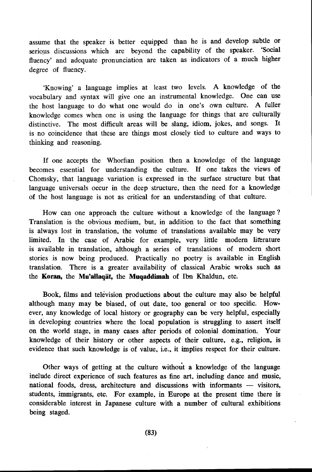assume that the speaker is better equipped than he is and develop subtle or serious discussions which are beyond the capability of the speaker. 'Social fluency' and adequate pronunciation are taken as indicators of a much higher degree of fluency.

'Knowing' a language implies at least two levels. A knowledge of the vocabulary and syntax will give one an instrumental knowledge. One can use the host language to do what one would do in one's own culture. A fuller knowledge comes when one is using the language for things that are culturally distinctive. The most difficult areas will be slang, idiom, jokes, and songs. It is no coincidence that these are things most closely tied to culture and ways to thinking and reasoning.

If one accepts the Whorfian position then a knowledge of the language becomes essential for understanding the culture. If one takes the views of Chomsky. that language variation is expressed in the surface structure but that language universals occur in the deep structure, then the need for a knowledge of the host language is not as critical for an understanding of that culture.

How can one approach the culture without a knowledge of the language ? Translation is the obvious medium, but, in addition to the fact that something is always lost in translation, the volume of translations available may be very limited. In the case of Arabic for example, very little modern littrature is available in translation, although a series of translations of modern short stories is now being produced. Practically no poetry is available in English translation. There is a greater availability of classical Arabic wroks such as the **Koran,** the **Mu'allaqat,** the **Muqaddimah** of Ibn Khaldun, etc.

Book, films and television productions about the culture may also be helpful although many may be biased, of out date, too general or too specific. However, any knowledge of local history or geography can be very helpful, especially in developing countries where the local population is struggling to assert itself on the world stage, in many cases after periods of colonial domination.. Your knowledge of their history or other aspects of their culture, e.g., religion, is evidence that such knowledge is of value, i.e., it implies respect for their culture.

Other ways of getting at the culture without a knowledge of the language include direct experience of such features as fine art, including dance and music, national foods, dress, architecture and discussions with informants - visitors, students, immigrants, etc. For example, in Europe at the present time there is considerable interest in Japanese culture with a number of cultural exhibitions being staged.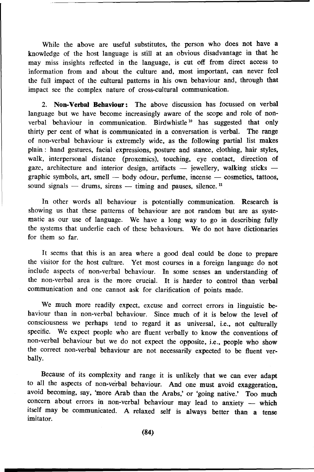While the above are useful substitutes, the person who does not have a knowledge of the host language is still at an obvious disadvantage in that he may miss insights reflected in the language, is cut off from direct access to information from and about the culture and, most important, can never feel the full impact of the cultural patterns in his own behaviour and, through that impact see the complex nature of cross-cultural communication.

2. **Non-Verbal Behaviour:** The above discussion has focussed on verbal language but we have become increasingly aware of the scope and role of nonverbal behaviour in communication. Birdwhistle  $10$  has suggested that only thirty per cent of what is communicated in a conversation is verbal. The range of non-verbal behaviour is extremely wide, as the following partial list makes plain : hand gestures, facial expressions, posture and stance, clothing, hair styles, walk, interpersonal distance (proxemics), touching, eye contact, direction of gaze, architecture and interior design, artifacts  $-$  jewellery, walking sticks  $$ graphic symbols, art, smell  $-$  body odour, perfume, incense  $-$  cosmetics, tattoos, sound signals  $-$  drums, sirens  $-$  timing and pauses, silence.<sup>11</sup>

In other words all behaviour is potentially communication. Research is showing us that these patterns of behaviour are not random but are as systematic as our use of language. We have a long way to go in describing fully the systems that underlie each of these behaviours. We do not have dictionaries for them so far.

It seems that this is an area where a good deal could be done to prepare the visitor for the host culture. Yet most courses in a foreign language do not include aspects of non-verbal behaviour. In some senses an understanding of the non-verbal area is the more crucial. It is harder to control than verbal communication and one cannot ask for clarification of points made.

We much more readily expect, excuse and correct errors in linguistic behaviour than in non-verbal behaviour. Since much of it is below the level of consciousness we perhaps tend to regard it as universal, i.e., not culturally specific. We expect people who are fluent verbally to know the conventions of non-verbal behaviour but we do not expect the opposite, i.e., people who show the correct non-verbal behaviour are not necessarily expected to be fluent verbally.

Because of its complexity and range it is unlikely that we can ever adapt to all the aspects of non-verbal behaviour. And one must avoid exaggeration, avoid becoming, say, 'more Arab than the Arabs,' or 'going native.' Too much concern about errors in non-verbal behaviour may lead to anxiety  $-$  which itself may be communicated. A relaxed self is always better than a tense imitator.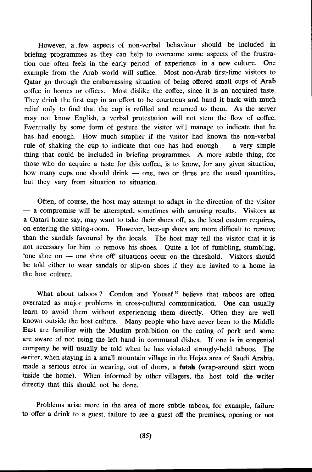However, a .few aspects of non-verbal behaviour should be included in briefing programmes as they can help to overcome some aspects of the frustration one often feels in the early period of· experience in a new culture. One example from the Arab world will suffice. Most non-Arab first-time visitors to Qatar go through the embarrassing situation of being offered small cups of Arab coffee in homes or offices. Most dislike the coffee, since it is an acquired taste. They drink the first cup in an effort to be courteous and hand it back with much relief only to find that the cup is refilled and returned to them. As the server may not know English, a verbal protestation will not stem the flow of coffee. Eventually by some form of gesture the visitor will manage to indicate that he has had enough. How much simplier if the visitor had known the non-verbal rule of shaking the cup to indicate that one has had enough  $-$  a very simple thing that could be included in briefing programmes. A more subtle thing, for those who do acquire a taste for this coffee, is to know, for any given situation, how many cups one should drink  $-$  one, two or three are the usual quantities, but they vary from situation to situation.

Often, of course, the host may attempt to adapt in the direction of the visitor  $-$  a compromise will be attempted, sometimes with amusing results. Visitors at a Qatari home say, may want to take their shoes off, as the local custom requires, on entering the sitting-room. However, lace-up shoes are more difficult to remove than the sandals favoured by the locals. The host may tell the visitor that it is not necessary for him to remove his shoes. Quite a lot of fumbling, stumbling, 'one shoe on - one shoe off' situations occur on the threshold. Visitors should be told either to wear sandals or slip-on shoes if they are invited to a home in the host culture.

What about taboos ? Condon and Yousef<sup>12</sup> believe that taboos are often overrated as major problems in cross-cultural communication. One can usually learn to avoid them without experiencing them directly. Often they are well known outside the host culture. Many people who have never been to the Middle East are familiar with the Muslim prohibition on the eating of pork and some are aware of not using the left hand in communal dishes. If one is in congenial company he will usually be told when he has violated strongly-held taboos. The •writer, when staying in a small mountain village in the Hejaz area of Saudi Arabia, made a serious error in wearing, out of doors, a **futah** (wrap-around skirt worn inside the home). When informed by other villagers, the host told the writer directly that this should not be done.

Problems arise more in the area of more subtle taboos, for example, failure to offer a drink to a guest, failure to see a guest off the premises, opening or not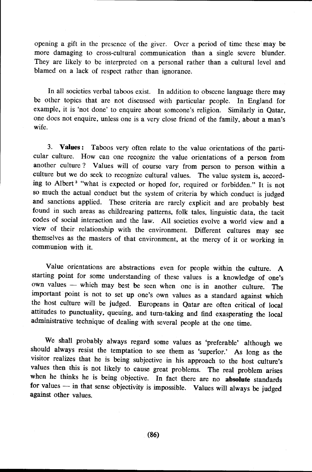opening a gift in the presence of the giver. Over a period of time these may be more damaging to cross-cultural communication than a single severe blunder. They are likely to be interpreted on a personal rather than a cultural level and blamed on a lack of respect rather than ignorance.

In all societies verbal taboos exist. In addition to obscene language there may be other topics that are not discussed with particular people. In England for example, it is 'not done' to enquire about someone's religion. Similarly in Qatar, one does not enquire, unless one is a very close friend of the family, about a man's wife.

3. **Values:** Taboos very often relate to the value orientations of the particular culture. How can one recognize the value orientations of a person from another culture? Values will of course vary from person to person within a culture but we do seek to recognize cultural values. The value system is, according to Albert 3 "what is expected or hoped for, required or forbidden." It is not so much the actual conduct but the system of criteria by which conduct is judged and sanctions applied. These criteria are rarely explicit and are probably best found in such areas as childrearing patterns, folk tales, linguistic data, the tacit codes of social interaction and the law. All societies evolve a world view and a view of their relationship with the environment. Different cultures may see themselves as the masters of that environment, at the mercy of it or working in communion with it.

Value orientations are abstractions even for people within the culture. A starting point for some understanding of these values is a knowledge of one's own values - which may best be seen when one is in another culture. The important point is not to set up one's own values as a standard against which the host culture will be judged. Europeans in Qatar are often critical of local attitudes to punctuality, queuing, and turn-taking and find exasperating the local administrative technique of dealing with several people at the one time.

We shall probably always regard some values as 'preferable' although we should always resist the temptation to see them as 'superior.' As long as the visitor realizes that he is being subjective in his approach to the host culture's values then this is not likely to cause great problems. The real problem arises when he thinks he is being objective. In fact there are no **absolute** standards for values - in that sense objectivity is impossible. Values will always be judged against other values.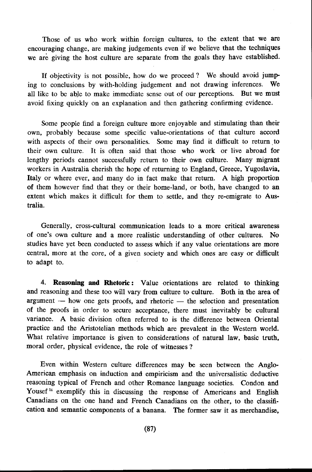Those of us who work within foreign cultures, to the extent that we are encouraging change, are making judgements even if we believe that the techniques we are giving the host culture are separate from the goals they have established.

If objectivity is not possible, how do we proceed ? We should avoid jumping to conclusions by with-holding judgement and not drawing inferences. We all like to be able to make immediate sense out of our perceptions. But we must avoid fixing quickly on an explanation and then gathering confirming evidence.

Some people find a foreign culture more enjoyable and stimulating than their own, probably because some specific value-orientations of that culture accord with aspects of their own personalities. Some may find it difficult to return to their own culture. It is often said that those who work or live abroad for lengthy periods cannot successfully return to their own culture. Many migrant workers in Australia cherish the hope of returning to England, Greece, Yugoslavia, Italy or where ever, and many do in fact make that return. A high proportion of them however find that they or their home-land, or both, have changed to an extent which makes it difficult for them to settle, and they re-emigrate to Australia.

Generally, cross-cultural communication leads to a more critical awareness of one's own culture and a more realistic understanding of other cultures. No studies have yet been conducted to assess which if any value orientations are more central, more at the core, of a given society and which ones are easy or difficult to adapt to.

4. **Reasoning and Rhetoric:** Value orientations are related to thinking and reasoning and these too will vary from culture to culture. Both in the area of  $argument$  - how one gets proofs, and rhetoric - the selection and presentation of the proofs in order to secure acceptance, there must inevitably be cultural variance. A basic division often referred to is the difference between Oriental practice and the Aristotelian methods which are prevalent in the Western world. What relative importance is given to considerations of natural law, basic truth, moral order, physical evidence, the role of witnesses ?

Even within Western culture differences may be seen between the Anglo-American emphasis on induction and empiricism and the universalistic deductive reasoning typical of French and other Romance language societies. Condon and Yousef<sup>14</sup> exemplify this in discussing the response of Americans and English Canadians on the one hand and French Canadians on the other, to the classification and semantic components of a banana. The former saw it as merchandise,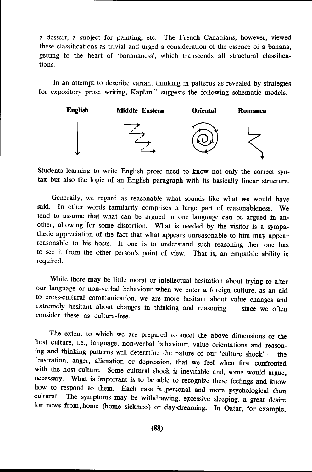a dessert, a subject for painting, etc. The French Canadians, however, viewed these classifications as trivial and urged a consideration of the essence of a banana, getting to the heart of 'banananess', which transcends all structural classifications.

In an attempt to describe variant thinking in patterns as revealed by strategies for expository prose writing, Kaplan<sup>15</sup> suggests the following schematic models.



Students learning to write English prose need to know not only the correct syntax but also the logic of an English paragraph with its basically linear structure.

Generally, we regard as reasonable what sounds like what we would have said. In other words familarity comprises a large part of reasonableness. We tend to assume that what can be argued in one language can be argued in another, allowing for some distortion. What is needed by the visitor is a sympathetic appreciation of the fact that what appears unreasonable to him may appear reasonable to his hosts. If one is to understand such reasoning then one has to see it from the other person's point of view. That is, an empathic ability is required.

While there may be little moral or intellectual hesitation about trying to alter our language or non-verbal behaviour when we enter a foreign culture, as an aid to cross-cultural communication, we are more hesitant about value changes and extremely hesitant about changes in thinking and reasoning - since we often consider these as culture-free.

The extent to which we are prepared to meet the above dimensions of the host culture, i.e., language, non-verbal behaviour, value orientations and reasoning and thinking patterns will determine the nature of our 'culture shock' - the frustration, anger, alienation or depression, that we feel when first confronted with the host culture. Some cultural shock is inevitable and, some would argue, necessary. What is important is to be able to recognize these feelings and know how to respond to them. Each case is personal and more psychological than cultural. The symptoms may be withdrawing excessive election a speak during The symptoms may be withdrawing, excessive sleeping, a great desire for news from,home (home sickness) or day-dreaming. In Qatar, for example,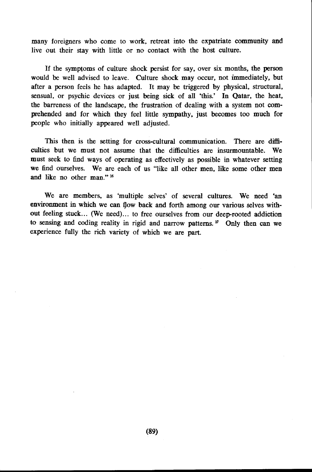many foreigners who come to work, retreat into the expatriate community and live out their stay with little or no contact with the host culture.

If the symptoms of culture shock persist for say, over six months, the person would be well advised to leave. Culture shock may occur. not immediately. but after a person feels he has adapted. It may be triggered by physical, structural, sensual, or psychic devices or just being sick of all 'this.' In Qatar, the heat. the barreness of the landscape. the frustration of dealing with a system not comprehended and for which they feel little sympathy. just becomes too much for people who initially appeared well adjusted.

This then is the setting for cross-cultural communication. There are difficulties but we must not assume that the difficulties are insurmountable. We must seek to find ways of operating as effectively as possible in whatever setting we find ourselves. We are each of us "like all other men, like some other men and like no other man." 16

We are members, as 'multiple selves' of several cultures. We need 'an environment in which we can flow back and forth among our various selves without feeling stuck ... (We need) ... to free ourselves from our deep-rooted addiction to sensing and coding reality in rigid and narrow patterns.<sup>17</sup> Only then can we experience fully the rich variety of which we are part.